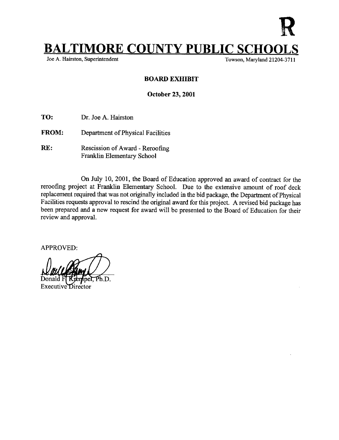

Towson, Maryland 21204-3711

## BOARD EXHIBIT

October 23, 2001

TO: Dr. Joe A. Hairston

- FROM: Department of Physical Facilities
- RE: Rescission of Award Reroofing Franklin Elementary School

On July 10, 2001, the Board of Education approved an award of contract for the reroofing project at Franklin Elementary School. Due to the extensive amount of roof deck replacement required that was not originally included in the bid package, the Department of Physical Facilities requests approval to rescind the original award for this project. A revised bid package has been prepared and <sup>a</sup> new request for award will be presented to the Board of Education for their review and approval.

APPROVED:

Ph.D.

neE Executive Director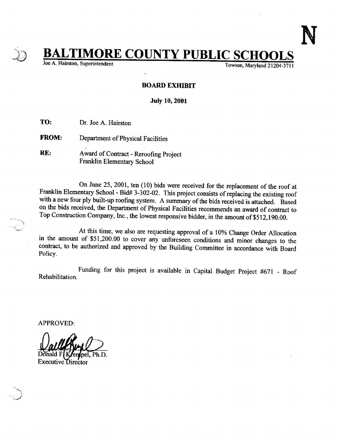**TIMORE COUNTY PUBLIC SCHOOLS**<br>ton, Superintendent<br>Towson, Maryland 21204-3711

Joe A. Hairston, Superintendent

## BOARD EXHIBIT

July 10, 2001

TO: Dr. Joe A. Hairston

FROM: Department of Physical Facilities

RE: Award of Contract - Reroofing Project Franklin Elementary School

On June 25, 2001, ten (10) bids were received for the replacement of the roof at Franklin Elementary School - Bid# 3-302-02. This project consists of replacing the existing roof with a new four ply built-up roofing system. A summary of the bids received is attached. Based<br>on the bids received, the Department of Physical Facilities recommends an award of contract to Top Construction Company, Inc., the lowest responsive bidder, in the amount of \$512,190 .00.

At this time, we also are requesting approval of a 10% Change Order Allocation<br>in the amount of \$51,200.00 to cover any unforeseen conditions and minor changes to the<br>contract, to be authorized and approved by the Building

Rehabilitation. Funding for this project is available in Capital Budget Project #671 - Roof

APPROVED:

Donald F (K**enipel**, Ph.D. Executive Director